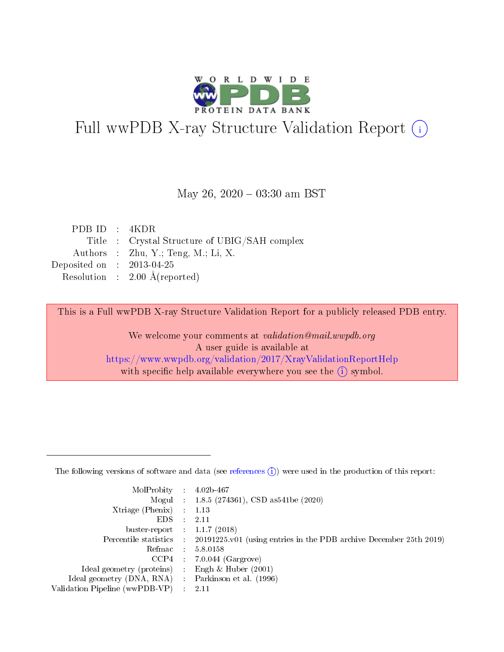

# Full wwPDB X-ray Structure Validation Report (i)

#### May 26,  $2020 - 03:30$  am BST

| PDBID : 4KDR                |                                              |
|-----------------------------|----------------------------------------------|
|                             | Title: Crystal Structure of UBIG/SAH complex |
|                             | Authors : Zhu, Y.; Teng, M.; Li, X.          |
| Deposited on : $2013-04-25$ |                                              |
|                             | Resolution : $2.00 \text{ Å}$ (reported)     |
|                             |                                              |

This is a Full wwPDB X-ray Structure Validation Report for a publicly released PDB entry.

We welcome your comments at validation@mail.wwpdb.org A user guide is available at <https://www.wwpdb.org/validation/2017/XrayValidationReportHelp> with specific help available everywhere you see the  $(i)$  symbol.

The following versions of software and data (see [references](https://www.wwpdb.org/validation/2017/XrayValidationReportHelp#references)  $(1)$ ) were used in the production of this report:

| MolProbity :                   |               | $4.02b - 467$                                                               |
|--------------------------------|---------------|-----------------------------------------------------------------------------|
|                                |               | Mogul : $1.8.5$ (274361), CSD as 541be (2020)                               |
| $X$ triage (Phenix) :          |               | 1.13                                                                        |
| EDS.                           |               | 2.11                                                                        |
| buster-report : $1.1.7$ (2018) |               |                                                                             |
| Percentile statistics :        |               | $20191225 \text{v}01$ (using entries in the PDB archive December 25th 2019) |
| Refmac :                       |               | 5.8.0158                                                                    |
| $CCP4$ :                       |               | $7.0.044$ (Gargrove)                                                        |
| Ideal geometry (proteins) :    |               | Engh $\&$ Huber (2001)                                                      |
| Ideal geometry (DNA, RNA) :    |               | Parkinson et al. (1996)                                                     |
| Validation Pipeline (wwPDB-VP) | $\mathcal{L}$ | 2.11                                                                        |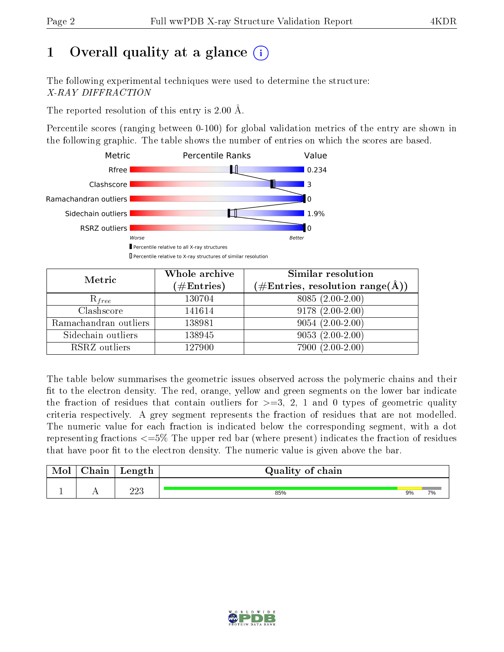## 1 [O](https://www.wwpdb.org/validation/2017/XrayValidationReportHelp#overall_quality)verall quality at a glance  $(i)$

The following experimental techniques were used to determine the structure: X-RAY DIFFRACTION

The reported resolution of this entry is 2.00 Å.

Percentile scores (ranging between 0-100) for global validation metrics of the entry are shown in the following graphic. The table shows the number of entries on which the scores are based.



| Metric                | Whole archive<br>$(\#\mathrm{Entries})$ | Similar resolution<br>$(\#\text{Entries},\,\text{resolution}\,\,\text{range}(\textup{\AA}))$ |
|-----------------------|-----------------------------------------|----------------------------------------------------------------------------------------------|
| $R_{free}$            | 130704                                  | $8085(2.00-2.00)$                                                                            |
| Clashscore            | 141614                                  | $9178(2.00-2.00)$                                                                            |
| Ramachandran outliers | 138981                                  | $9054(2.00-2.00)$                                                                            |
| Sidechain outliers    | 138945                                  | $9053(2.00-2.00)$                                                                            |
| RSRZ outliers         | 127900                                  | $7900(2.00-2.00)$                                                                            |

The table below summarises the geometric issues observed across the polymeric chains and their fit to the electron density. The red, orange, yellow and green segments on the lower bar indicate the fraction of residues that contain outliers for  $>=3, 2, 1$  and 0 types of geometric quality criteria respectively. A grey segment represents the fraction of residues that are not modelled. The numeric value for each fraction is indicated below the corresponding segment, with a dot representing fractions  $\epsilon=5\%$  The upper red bar (where present) indicates the fraction of residues that have poor fit to the electron density. The numeric value is given above the bar.

| Mol           | $\cap$ hain | Length | Quality of chain |    |    |
|---------------|-------------|--------|------------------|----|----|
| <u>. на п</u> | . .         | ດດາ    | 85%              | 9% | 7% |

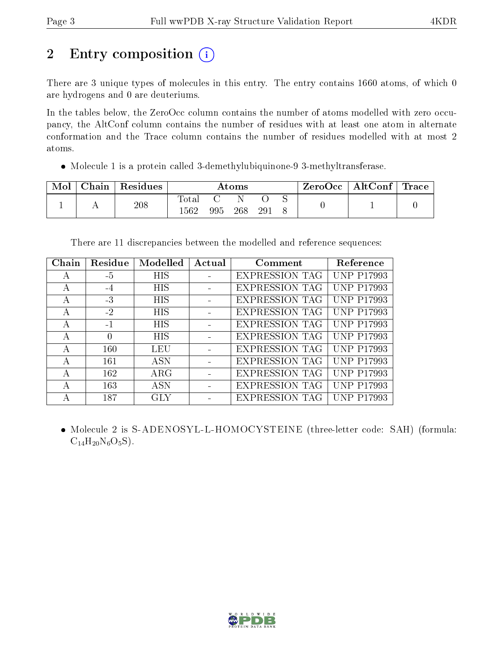# 2 Entry composition (i)

There are 3 unique types of molecules in this entry. The entry contains 1660 atoms, of which 0 are hydrogens and 0 are deuteriums.

In the tables below, the ZeroOcc column contains the number of atoms modelled with zero occupancy, the AltConf column contains the number of residues with at least one atom in alternate conformation and the Trace column contains the number of residues modelled with at most 2 atoms.

Molecule 1 is a protein called 3-demethylubiquinone-9 3-methyltransferase.

| Mol | $\cap$ hain | Residues | Atoms                     |     |     | ZeroOcc | AltConf | $\lq$ Trace |  |  |
|-----|-------------|----------|---------------------------|-----|-----|---------|---------|-------------|--|--|
|     |             | 208      | Tota <sub>1</sub><br>1562 | 995 | 268 | 29.     |         |             |  |  |

There are 11 discrepancies between the modelled and reference sequences:

| Chain        | Residue          | Modelled   | Actual | Comment               | Reference                     |
|--------------|------------------|------------|--------|-----------------------|-------------------------------|
| A            | $-5$             | <b>HIS</b> |        | <b>EXPRESSION TAG</b> | <b>UNP P17993</b>             |
| $\mathsf{A}$ | $-4$             | <b>HIS</b> |        | <b>EXPRESSION TAG</b> | <b>UNP P17993</b>             |
| А            | $-3$             | <b>HIS</b> |        | <b>EXPRESSION TAG</b> | <b>UNP P17993</b>             |
| А            | $-2$             | <b>HIS</b> |        | <b>EXPRESSION TAG</b> | <b>UNP P17993</b>             |
| А            | $-1$             | <b>HIS</b> |        | <b>EXPRESSION TAG</b> | <b>UNP P17993</b>             |
| А            | $\left( \right)$ | <b>HIS</b> |        | <b>EXPRESSION TAG</b> | <b>UNP P17993</b>             |
| А            | 160              | LEU        |        | <b>EXPRESSION TAG</b> | <b>UNP P17993</b>             |
| А            | 161              | <b>ASN</b> |        | <b>EXPRESSION TAG</b> | <b>UNP P17993</b>             |
| А            | 162              | $\rm{ARG}$ |        | <b>EXPRESSION TAG</b> | <b>UNP P17993</b>             |
| А            | 163              | <b>ASN</b> |        | <b>EXPRESSION TAG</b> | <b>UNP P17993</b>             |
|              | 187              | GLY        |        | <b>EXPRESSION TAG</b> | $'NP$ .<br>P <sub>17993</sub> |

 Molecule 2 is S-ADENOSYL-L-HOMOCYSTEINE (three-letter code: SAH) (formula:  $C_{14}H_{20}N_6O_5S$ ).

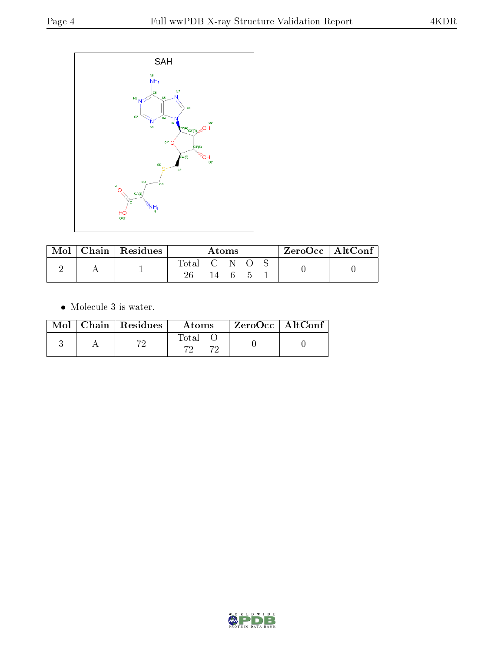

| Mol | Chain   Residues | Atoms |  |      | $ZeroOcc \   \ AltConf \  $ |  |  |
|-----|------------------|-------|--|------|-----------------------------|--|--|
|     |                  | Total |  |      |                             |  |  |
|     |                  |       |  | $-6$ |                             |  |  |

 $\bullet\,$  Molecule 3 is water.

|  | $Mol$   Chain   Residues | Atoms       | $^\shortparallel$ ZeroOcc $\mid$ AltConf $\mid$ |  |
|--|--------------------------|-------------|-------------------------------------------------|--|
|  | הק                       | Total<br>הק |                                                 |  |

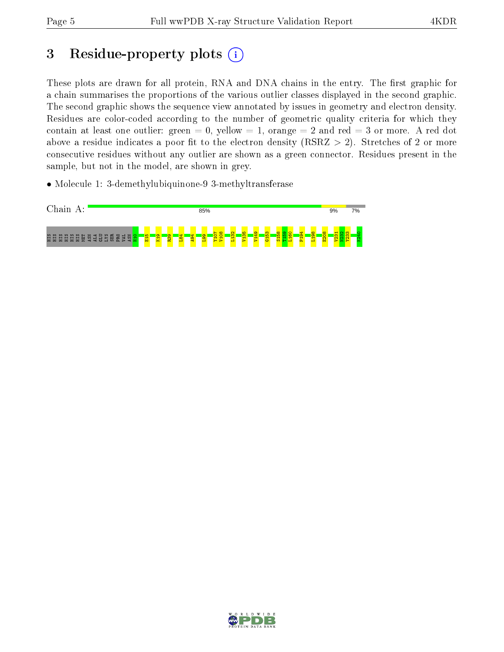## 3 Residue-property plots  $(i)$

These plots are drawn for all protein, RNA and DNA chains in the entry. The first graphic for a chain summarises the proportions of the various outlier classes displayed in the second graphic. The second graphic shows the sequence view annotated by issues in geometry and electron density. Residues are color-coded according to the number of geometric quality criteria for which they contain at least one outlier: green  $= 0$ , yellow  $= 1$ , orange  $= 2$  and red  $= 3$  or more. A red dot above a residue indicates a poor fit to the electron density (RSRZ  $> 2$ ). Stretches of 2 or more consecutive residues without any outlier are shown as a green connector. Residues present in the sample, but not in the model, are shown in grey.

• Molecule 1: 3-demethylubiquinone-9 3-methyltransferase



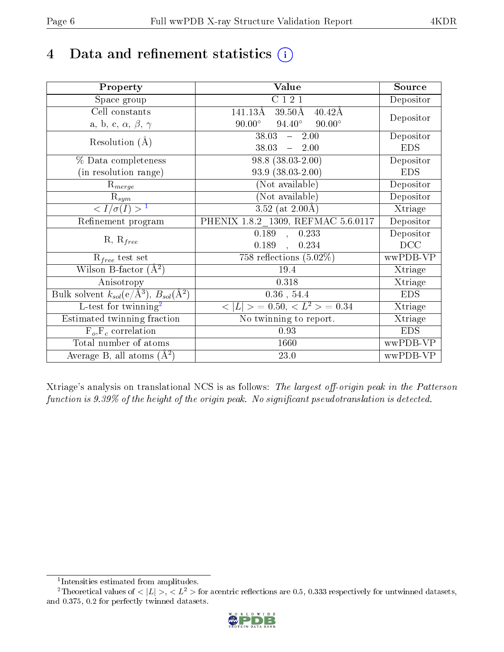## 4 Data and refinement statistics  $(i)$

| Property                                                             | Value                                             | Source     |
|----------------------------------------------------------------------|---------------------------------------------------|------------|
| Space group                                                          | C121                                              | Depositor  |
| Cell constants                                                       | 141.13Å<br>$39.50\text{\AA}$<br>$40.42\text{\AA}$ |            |
| a, b, c, $\alpha$ , $\beta$ , $\gamma$                               | $94.40^\circ$<br>$90.00^\circ$<br>$90.00^{\circ}$ | Depositor  |
| Resolution $(A)$                                                     | 38.03<br>2.00<br>$\frac{1}{2}$                    | Depositor  |
|                                                                      | 38.03<br>$-2.00$                                  | <b>EDS</b> |
| % Data completeness                                                  | $98.8$ $(38.03 - 2.00)$                           | Depositor  |
| (in resolution range)                                                | $93.9(38.03-2.00)$                                | <b>EDS</b> |
| $R_{merge}$                                                          | (Not available)                                   | Depositor  |
| $\mathrm{R}_{sym}$                                                   | (Not available)                                   | Depositor  |
| $\sqrt{I/\sigma(I)} > 1$                                             | $3.52$ (at $2.00\text{\AA}$ )                     | Xtriage    |
| Refinement program                                                   | PHENIX 1.8.2 1309, REFMAC 5.6.0117                | Depositor  |
| $R, R_{free}$                                                        | $0.189$ , $0.233$                                 | Depositor  |
|                                                                      | $0.189 \quad , \quad 0.234$                       | DCC        |
| $R_{free}$ test set                                                  | 758 reflections $(5.02\%)$                        | wwPDB-VP   |
| Wilson B-factor $(A^2)$                                              | 19.4                                              | Xtriage    |
| Anisotropy                                                           | $0.318\,$                                         | Xtriage    |
| Bulk solvent $k_{sol}(e/\mathring{A}^3)$ , $B_{sol}(\mathring{A}^2)$ | $0.36$ , $54.4$                                   | <b>EDS</b> |
| L-test for twinning <sup>2</sup>                                     | $< L >$ = 0.50, $< L2 >$ = 0.34                   | Xtriage    |
| Estimated twinning fraction                                          | No twinning to report.                            | Xtriage    |
| $F_o, F_c$ correlation                                               | 0.93                                              | <b>EDS</b> |
| Total number of atoms                                                | 1660                                              | wwPDB-VP   |
| Average B, all atoms $(A^2)$                                         | 23.0                                              | wwPDB-VP   |

Xtriage's analysis on translational NCS is as follows: The largest off-origin peak in the Patterson function is  $9.39\%$  of the height of the origin peak. No significant pseudotranslation is detected.

<sup>&</sup>lt;sup>2</sup>Theoretical values of  $\langle |L| \rangle$ ,  $\langle L^2 \rangle$  for acentric reflections are 0.5, 0.333 respectively for untwinned datasets, and 0.375, 0.2 for perfectly twinned datasets.



<span id="page-5-1"></span><span id="page-5-0"></span><sup>1</sup> Intensities estimated from amplitudes.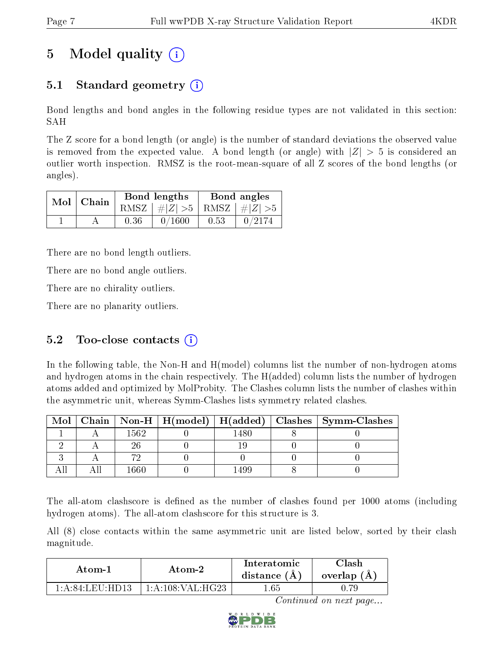## 5 Model quality  $(i)$

### 5.1 Standard geometry (i)

Bond lengths and bond angles in the following residue types are not validated in this section: SAH

The Z score for a bond length (or angle) is the number of standard deviations the observed value is removed from the expected value. A bond length (or angle) with  $|Z| > 5$  is considered an outlier worth inspection. RMSZ is the root-mean-square of all Z scores of the bond lengths (or angles).

| $Mol$   Chain |      | Bond lengths                    | Bond angles |        |  |
|---------------|------|---------------------------------|-------------|--------|--|
|               |      | RMSZ $ #Z  > 5$ RMSZ $ #Z  > 5$ |             |        |  |
|               | 0.36 | 0/1600                          | 0.53        | 0/2174 |  |

There are no bond length outliers.

There are no bond angle outliers.

There are no chirality outliers.

There are no planarity outliers.

#### 5.2 Too-close contacts  $(i)$

In the following table, the Non-H and H(model) columns list the number of non-hydrogen atoms and hydrogen atoms in the chain respectively. The H(added) column lists the number of hydrogen atoms added and optimized by MolProbity. The Clashes column lists the number of clashes within the asymmetric unit, whereas Symm-Clashes lists symmetry related clashes.

| $\text{Mol}$ |      |     | $\mid$ Chain $\mid$ Non-H $\mid$ H(model) $\mid$ H(added) $\mid$ Clashes $\mid$ Symm-Clashes $\mid$ |
|--------------|------|-----|-----------------------------------------------------------------------------------------------------|
|              | 1562 | 480 |                                                                                                     |
|              |      |     |                                                                                                     |
|              |      |     |                                                                                                     |
|              |      |     |                                                                                                     |

The all-atom clashscore is defined as the number of clashes found per 1000 atoms (including hydrogen atoms). The all-atom clashscore for this structure is 3.

All (8) close contacts within the same asymmetric unit are listed below, sorted by their clash magnitude.

| Atom-2                  |                    | Interatomic    | ∵lash         |
|-------------------------|--------------------|----------------|---------------|
| Atom-1                  |                    | distance $(A)$ | overlap $(A)$ |
| $1:$ A : $84:$ LEH-HD13 | 1: A:108: VAL:HG23 | 1.65           |               |

Continued on next page...

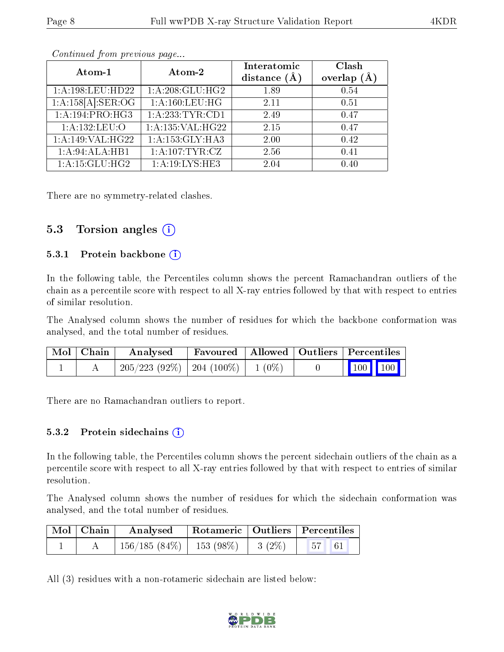| Atom-1                        | Atom-2               | Interatomic<br>distance $(\AA)$ | Clash<br>overlap $(A)$ |
|-------------------------------|----------------------|---------------------------------|------------------------|
| 1:A:198:LEU:HD22              | 1:A:208:GLU:HG2      | 1.89                            | 0.54                   |
| 1:A:158[A]:SER:OG             | 1: A: 160: LEU: HG   | 2.11                            | 0.51                   |
| 1:A:194:PRO:HG3               | 1:A:233:TYR:CD1      | 2.49                            | 0.47                   |
| 1:A:132:LEU:O                 | 1: A: 135: VAL: HG22 | 2.15                            | 0.47                   |
| $1:A:149:\overline{VAL:HG22}$ | 1:A:153:GLY:HA3      | 2.00                            | 0.42                   |
| 1:A:94:ALA:HB1                | 1:A:107:TYR:CZ       | 2.56                            | 0.41                   |
| 1:A:15:GLU:HG2                | 1: A:19:LYS:HE3      | 2.04                            | 0.40                   |

Continued from previous page...

There are no symmetry-related clashes.

#### 5.3 Torsion angles (i)

#### 5.3.1 Protein backbone  $(i)$

In the following table, the Percentiles column shows the percent Ramachandran outliers of the chain as a percentile score with respect to all X-ray entries followed by that with respect to entries of similar resolution.

The Analysed column shows the number of residues for which the backbone conformation was analysed, and the total number of residues.

| $\text{Mol} \mid \text{Chain} \mid$ | Analysed                                 |  | Favoured   Allowed   Outliers   Percentiles                |
|-------------------------------------|------------------------------------------|--|------------------------------------------------------------|
|                                     | $205/223$ (92\%)   204 (100\%)   1 (0\%) |  | $\begin{array}{ c c c c }\n\hline\n100 & 100\n\end{array}$ |

There are no Ramachandran outliers to report.

#### 5.3.2 Protein sidechains  $\hat{I}$

In the following table, the Percentiles column shows the percent sidechain outliers of the chain as a percentile score with respect to all X-ray entries followed by that with respect to entries of similar resolution.

The Analysed column shows the number of residues for which the sidechain conformation was analysed, and the total number of residues.

| $\mid$ Mol $\mid$ Chain $\mid$ | Analysed                               |  | Rotameric   Outliers   Percentiles                               |  |
|--------------------------------|----------------------------------------|--|------------------------------------------------------------------|--|
|                                | $156/185(84\%)$   153 (98\%)   3 (2\%) |  | $\begin{array}{ c c c c c } \hline 57 & 61 \ \hline \end{array}$ |  |

All (3) residues with a non-rotameric sidechain are listed below:

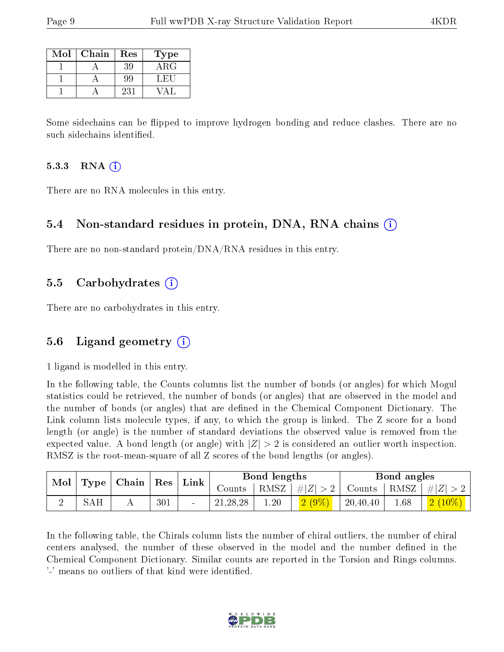| Mol | Chain | Res | Type  |
|-----|-------|-----|-------|
|     |       | 39  | ARG   |
|     |       | 99  | 1. HH |
|     |       | 231 |       |

Some sidechains can be flipped to improve hydrogen bonding and reduce clashes. There are no such sidechains identified.

#### 5.3.3 RNA  $(i)$

There are no RNA molecules in this entry.

#### 5.4 Non-standard residues in protein, DNA, RNA chains  $(i)$

There are no non-standard protein/DNA/RNA residues in this entry.

#### 5.5 Carbohydrates  $(i)$

There are no carbohydrates in this entry.

#### 5.6 Ligand geometry (i)

1 ligand is modelled in this entry.

In the following table, the Counts columns list the number of bonds (or angles) for which Mogul statistics could be retrieved, the number of bonds (or angles) that are observed in the model and the number of bonds (or angles) that are defined in the Chemical Component Dictionary. The Link column lists molecule types, if any, to which the group is linked. The Z score for a bond length (or angle) is the number of standard deviations the observed value is removed from the expected value. A bond length (or angle) with  $|Z| > 2$  is considered an outlier worth inspection. RMSZ is the root-mean-square of all Z scores of the bond lengths (or angles).

| $\parallel$ Mol $\parallel$ Type $\parallel$ Chain $\parallel$ Res $\parallel$ |     |     | $\mathop{\rm Link}\nolimits$ |            | Bond lengths |              |          | Bond angles                                                       |                              |
|--------------------------------------------------------------------------------|-----|-----|------------------------------|------------|--------------|--------------|----------|-------------------------------------------------------------------|------------------------------|
|                                                                                |     |     |                              |            |              |              |          | Counts   RMSZ $\mid \#  Z  > 2$   Counts   RMSZ $\mid \#  Z  > 2$ |                              |
|                                                                                | SAH | 301 |                              | 21, 28, 28 | 1.20         | $(2 \ (9\%)$ | 20,40,40 | 1.68                                                              | $\mid$ $\mid 2\ (10\%) \mid$ |

In the following table, the Chirals column lists the number of chiral outliers, the number of chiral centers analysed, the number of these observed in the model and the number defined in the Chemical Component Dictionary. Similar counts are reported in the Torsion and Rings columns. '-' means no outliers of that kind were identified.

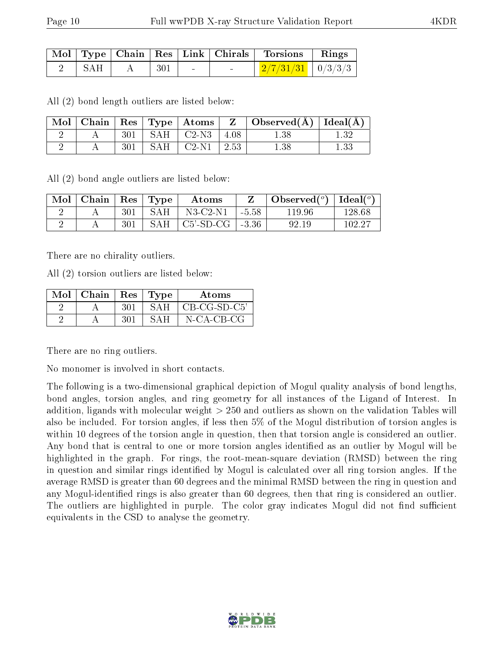|                   |                                                                   |               | Mol   Type   Chain   Res   Link   Chirals   Torsions   Rings |  |
|-------------------|-------------------------------------------------------------------|---------------|--------------------------------------------------------------|--|
| $2 \parallel$ SAH | $\begin{array}{c} \begin{array}{c} \end{array}$ 301 $\end{array}$ | $\sim$ $\sim$ | $\frac{277}{31/31}$   0/3/3/3                                |  |

All (2) bond length outliers are listed below:

|  |     |                                        | $\mid$ Mol $\mid$ Chain $\mid$ Res $\mid$ Type $\mid$ Atoms $\mid$ Z $\mid$ Observed(Å) $\mid$ Ideal(Å) |  |
|--|-----|----------------------------------------|---------------------------------------------------------------------------------------------------------|--|
|  |     | $301$   SAH   C2-N3   4.08             | $1.38\,$                                                                                                |  |
|  | 301 | $\vert$ SAH $\vert$ C2-N1 $\vert$ 2.53 | 1.38                                                                                                    |  |

All (2) bond angle outliers are listed below:

| Mol | Chain   $\text{Res}$   $\text{Type}$ |     |     | Atoms             |         | Observed $(^\circ)$ | Ideal $({}^o)$ |
|-----|--------------------------------------|-----|-----|-------------------|---------|---------------------|----------------|
|     |                                      | 301 | SAH | $N3-C2-N1$        | $-5.58$ | 119.96              | 128.68         |
|     |                                      | 301 | SAH | C5'-SD-CG   -3.36 |         | 92.19               | 102.27         |

There are no chirality outliers.

All (2) torsion outliers are listed below:

| $\text{Mol}$   Chain   Res   Type |      |        | Atoms               |
|-----------------------------------|------|--------|---------------------|
|                                   | -301 | -SAH - | $\mid$ CB-CG-SD-C5' |
|                                   | -301 | SAH    | N-CA-CB-CG          |

There are no ring outliers.

No monomer is involved in short contacts.

The following is a two-dimensional graphical depiction of Mogul quality analysis of bond lengths, bond angles, torsion angles, and ring geometry for all instances of the Ligand of Interest. In addition, ligands with molecular weight > 250 and outliers as shown on the validation Tables will also be included. For torsion angles, if less then 5% of the Mogul distribution of torsion angles is within 10 degrees of the torsion angle in question, then that torsion angle is considered an outlier. Any bond that is central to one or more torsion angles identified as an outlier by Mogul will be highlighted in the graph. For rings, the root-mean-square deviation (RMSD) between the ring in question and similar rings identified by Mogul is calculated over all ring torsion angles. If the average RMSD is greater than 60 degrees and the minimal RMSD between the ring in question and any Mogul-identified rings is also greater than 60 degrees, then that ring is considered an outlier. The outliers are highlighted in purple. The color gray indicates Mogul did not find sufficient equivalents in the CSD to analyse the geometry.

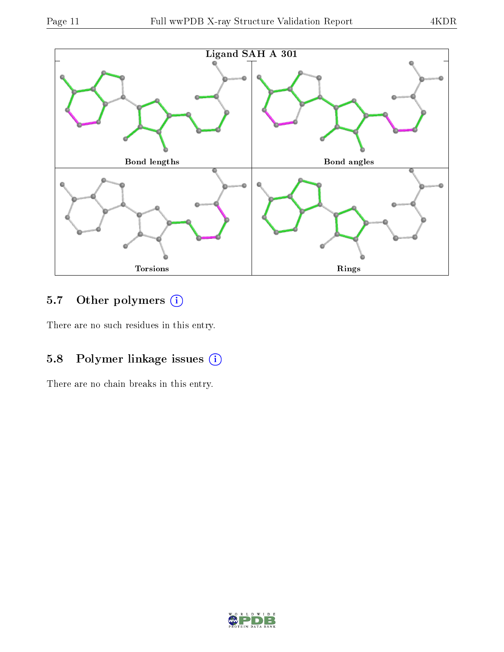

### 5.7 [O](https://www.wwpdb.org/validation/2017/XrayValidationReportHelp#nonstandard_residues_and_ligands)ther polymers (i)

There are no such residues in this entry.

### 5.8 Polymer linkage issues (i)

There are no chain breaks in this entry.

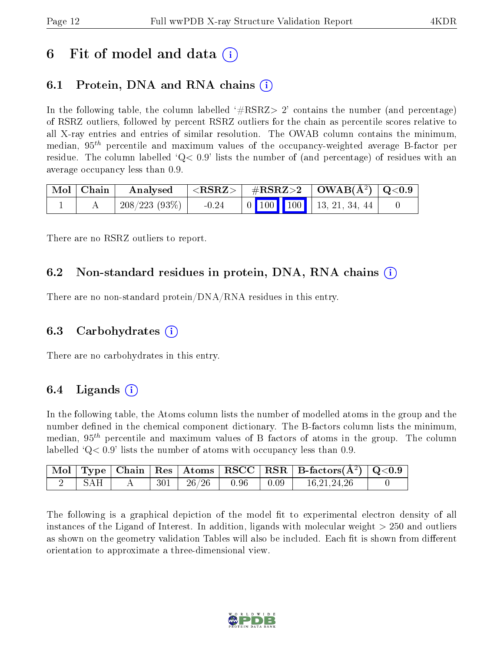### 6 Fit of model and data  $\left( \cdot \right)$

### 6.1 Protein, DNA and RNA chains (i)

In the following table, the column labelled  $#RSRZ>2'$  contains the number (and percentage) of RSRZ outliers, followed by percent RSRZ outliers for the chain as percentile scores relative to all X-ray entries and entries of similar resolution. The OWAB column contains the minimum, median,  $95<sup>th</sup>$  percentile and maximum values of the occupancy-weighted average B-factor per residue. The column labelled  $Q < 0.9$  lists the number of (and percentage) of residues with an average occupancy less than 0.9.

| $\mid$ Mol $\mid$ Chain | Analysed     | $^+$ <rsrz> <math>_+</math></rsrz> |  | $\#RSRZ>2$   OWAB( $A^2$ )   Q<0.9 |  |
|-------------------------|--------------|------------------------------------|--|------------------------------------|--|
|                         | 208/223(93%) | $-0.24$                            |  |                                    |  |

There are no RSRZ outliers to report.

### 6.2 Non-standard residues in protein, DNA, RNA chains  $(i)$

There are no non-standard protein/DNA/RNA residues in this entry.

#### 6.3 Carbohydrates (i)

There are no carbohydrates in this entry.

### 6.4 Ligands  $(i)$

In the following table, the Atoms column lists the number of modelled atoms in the group and the number defined in the chemical component dictionary. The B-factors column lists the minimum, median,  $95<sup>th</sup>$  percentile and maximum values of B factors of atoms in the group. The column labelled  $Q< 0.9$ ' lists the number of atoms with occupancy less than 0.9.

|     |         |       |              |      | Mol   Type   Chain   Res   Atoms   RSCC   RSR   B-factors $(A^2)$   Q<0.9 |  |
|-----|---------|-------|--------------|------|---------------------------------------------------------------------------|--|
| SAH | $301\,$ | 26/26 | $\vert$ 0.96 | 0.09 | 16, 21, 24, 26                                                            |  |

The following is a graphical depiction of the model fit to experimental electron density of all instances of the Ligand of Interest. In addition, ligands with molecular weight  $> 250$  and outliers as shown on the geometry validation Tables will also be included. Each fit is shown from different orientation to approximate a three-dimensional view.